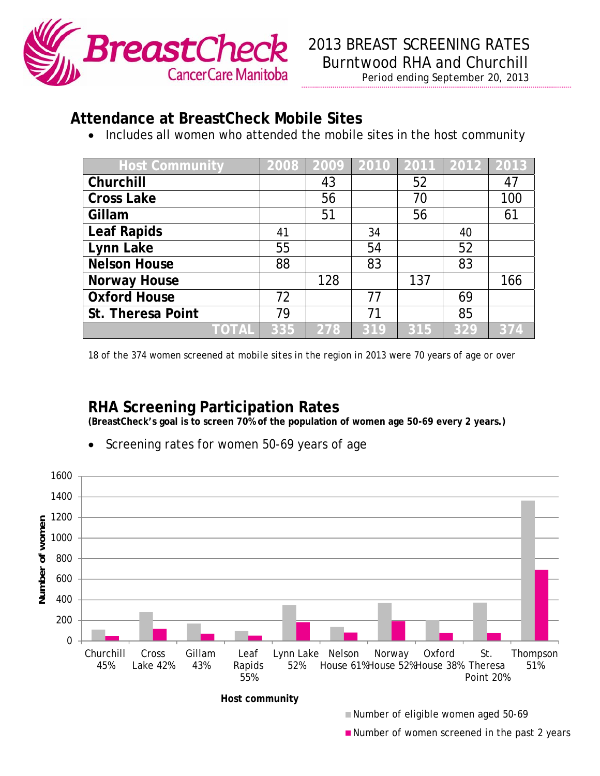

## *Period ending September 20, 2013*

## **Attendance at BreastCheck Mobile Sites**

• Includes all women who attended the mobile sites in the host community

| <b>Host Community</b> |     | 2008 2009 2010 2011 2012 2013 |     |     |     |     |
|-----------------------|-----|-------------------------------|-----|-----|-----|-----|
| Churchill             |     | 43                            |     | 52  |     | 47  |
| <b>Cross Lake</b>     |     | 56                            |     | 70  |     | 100 |
| Gillam                |     | 51                            |     | 56  |     | 61  |
| <b>Leaf Rapids</b>    | 41  |                               | 34  |     | 40  |     |
| Lynn Lake             | 55  |                               | 54  |     | 52  |     |
| <b>Nelson House</b>   | 88  |                               | 83  |     | 83  |     |
| <b>Norway House</b>   |     | 128                           |     | 137 |     | 166 |
| <b>Oxford House</b>   | 72  |                               | 77  |     | 69  |     |
| St. Theresa Point     | 79  |                               | 71  |     | 85  |     |
| TOTAL                 | 335 | 278                           | 319 | 315 | 329 | 374 |

*18 of the 374 women screened at mobile sites in the region in 2013 were 70 years of age or over* 

## **RHA Screening Participation Rates**

**(BreastCheck's goal is to screen 70% of the population of women age 50-69 every 2 years.)** 

- 1600 1400 1200 Number of women **Number of women** 1000 800 600 400 200 0 Churchill Cross Gillam Lynn Lake Nelson Norway Oxford St. Thompson Leaf 45% Lake 42% 43% Rapids 52% House 61% House 52% House 38% Theresa 51% 55% Point 20%  $\frac{f}{f}$  and  $\frac{f}{f}$  in  $\frac{f}{f}$  in  $\frac{f}{f}$  community.
- Screening rates for women 50-69 years of age

**Host community**

 $\blacksquare$  Number of eligible women aged 50-69

**Phone:** Mumber of women screened in the past 2 years